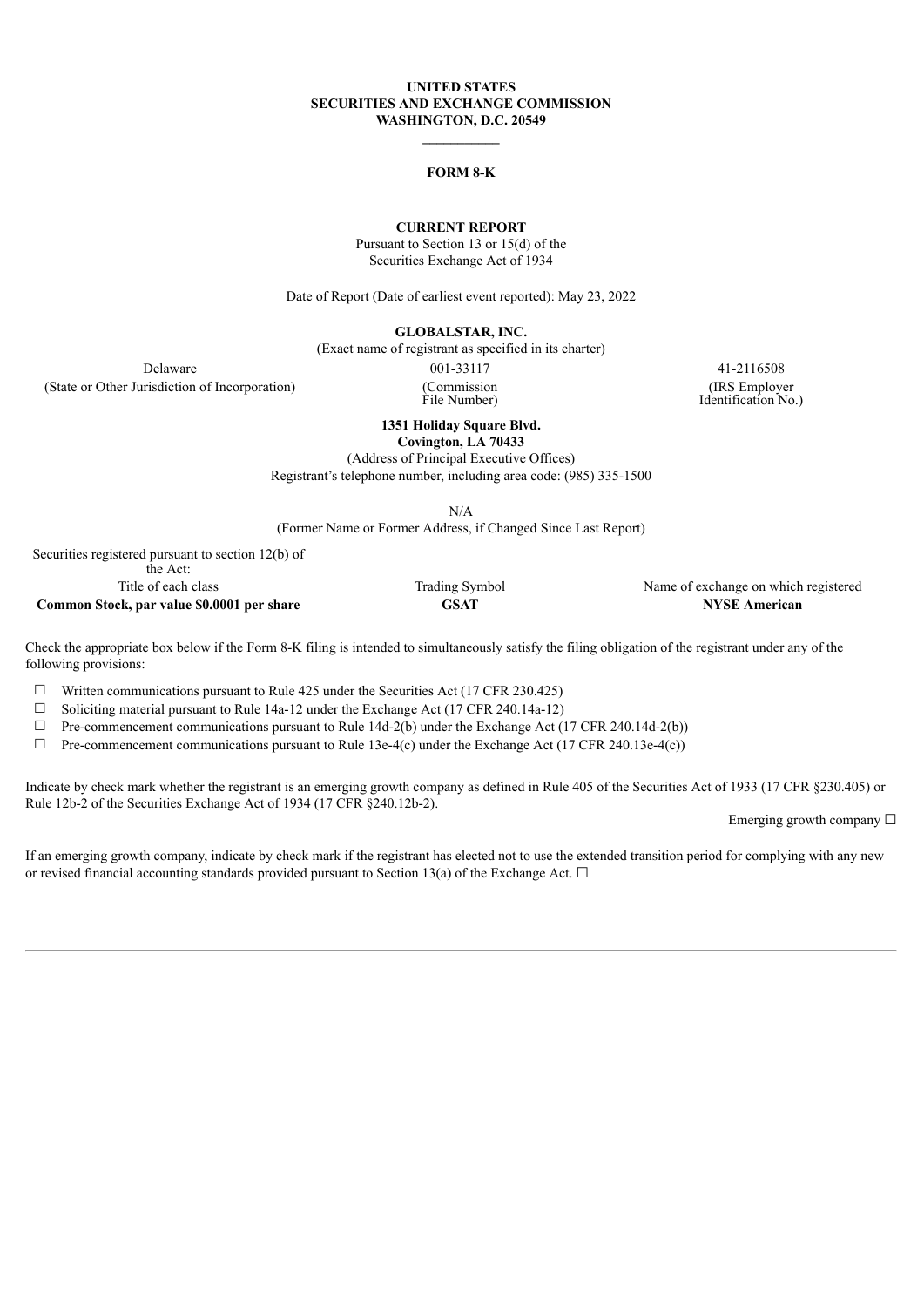### **UNITED STATES SECURITIES AND EXCHANGE COMMISSION WASHINGTON, D.C. 20549**

#### **FORM 8-K**

### **CURRENT REPORT**

Pursuant to Section 13 or 15(d) of the Securities Exchange Act of 1934

Date of Report (Date of earliest event reported): May 23, 2022

**GLOBALSTAR, INC.**

(Exact name of registrant as specified in its charter)

(State or Other Jurisdiction of Incorporation) (Commission

Delaware 001-33117 41-2116508 File Number)

(IRS Employer Identification No.)

**1351 Holiday Square Blvd.**

**Covington, LA 70433**

(Address of Principal Executive Offices) Registrant's telephone number, including area code: (985) 335-1500

N/A

(Former Name or Former Address, if Changed Since Last Report)

Securities registered pursuant to section 12(b) of the Act: **Common Stock, par value** \$0.0001 **per share GSAT** 

Title of each class Trading Symbol Name of exchange on which registered<br> **CALC CONGLEXE CONGLEXE CONGLEXE CONGLEXE CONGLEXE CONGLEXE CONGLEXE CONGLEXE CONGLEXE CONGLEXE CONGLEXE CONGLE<br>
CONGLEXE AMERICAN CONGLEXE CONGLEXE** 

Check the appropriate box below if the Form 8-K filing is intended to simultaneously satisfy the filing obligation of the registrant under any of the following provisions:

 $\Box$  Written communications pursuant to Rule 425 under the Securities Act (17 CFR 230.425)

 $\Box$  Soliciting material pursuant to Rule 14a-12 under the Exchange Act (17 CFR 240.14a-12)

 $\Box$  Pre-commencement communications pursuant to Rule 14d-2(b) under the Exchange Act (17 CFR 240.14d-2(b))

 $\Box$  Pre-commencement communications pursuant to Rule 13e-4(c) under the Exchange Act (17 CFR 240.13e-4(c))

Indicate by check mark whether the registrant is an emerging growth company as defined in Rule 405 of the Securities Act of 1933 (17 CFR §230.405) or Rule 12b-2 of the Securities Exchange Act of 1934 (17 CFR §240.12b-2).

Emerging growth company  $\Box$ 

If an emerging growth company, indicate by check mark if the registrant has elected not to use the extended transition period for complying with any new or revised financial accounting standards provided pursuant to Section 13(a) of the Exchange Act.  $\Box$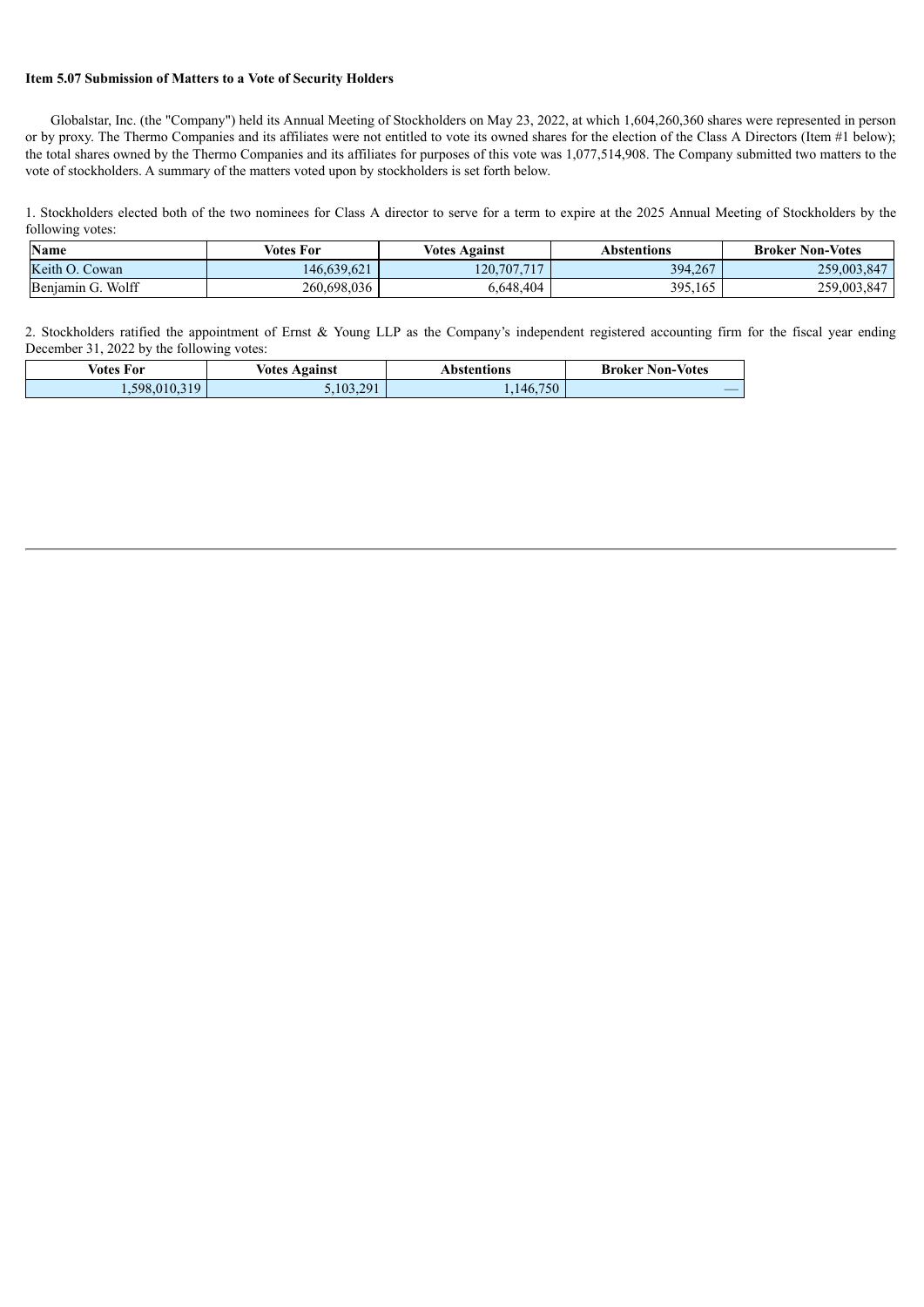## **Item 5.07 Submission of Matters to a Vote of Security Holders**

Globalstar, Inc. (the "Company") held its Annual Meeting of Stockholders on May 23, 2022, at which 1,604,260,360 shares were represented in person or by proxy. The Thermo Companies and its affiliates were not entitled to vote its owned shares for the election of the Class A Directors (Item #1 below); the total shares owned by the Thermo Companies and its affiliates for purposes of this vote was 1,077,514,908. The Company submitted two matters to the vote of stockholders. A summary of the matters voted upon by stockholders is set forth below.

1. Stockholders elected both of the two nominees for Class A director to serve for a term to expire at the 2025 Annual Meeting of Stockholders by the following votes:

| <b>Name</b>       | Votes For   | <b>Votes Against</b> | Abstentions | <b>Broker Non-Votes</b> |
|-------------------|-------------|----------------------|-------------|-------------------------|
| Keith O. Cowan    | 146.639.621 | 120,707,717          | 394,267     | 259,003,847             |
| Benjamin G. Wolff | 260.698.036 | 6,648,404            | 395.165     | 259,003,847             |

2. Stockholders ratified the appointment of Ernst & Young LLP as the Company's independent registered accounting firm for the fiscal year ending December 31, 2022 by the following votes:

| Votes For    | <b>Votes Against</b> | Abstentions | <b>Broker Non-Votes</b> |
|--------------|----------------------|-------------|-------------------------|
| .598,010,319 | .103.291             | 1,146,750   |                         |